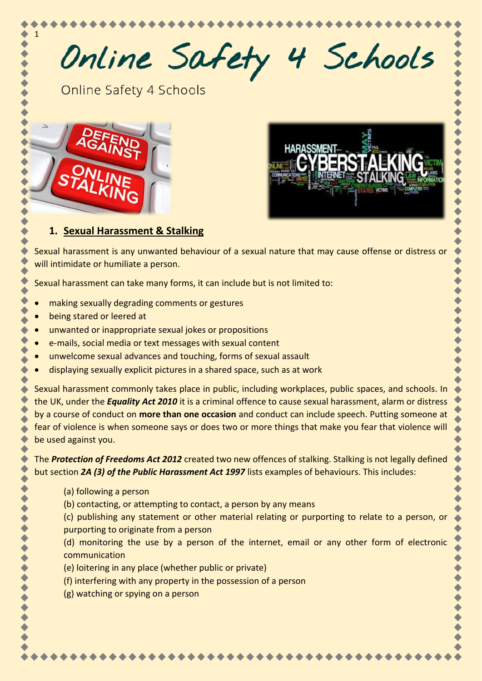Online Safety 4 Schools

Online Safety 4 Schools



1



# **1. Sexual Harassment & Stalking**

Sexual harassment is any unwanted behaviour of a sexual nature that may cause offense or distress or will intimidate or humiliate a person.

Sexual harassment can take many forms, it can include but is not limited to:

- making sexually degrading comments or gestures
- being stared or leered at
- unwanted or inappropriate sexual jokes or propositions
- e-mails, social media or text messages with sexual content
- unwelcome sexual advances and touching, forms of sexual assault
- displaying sexually explicit pictures in a shared space, such as at work

Sexual harassment commonly takes place in public, including workplaces, public spaces, and schools. In the UK, under the *Equality Act 2010* it is a criminal offence to cause sexual harassment, alarm or distress by a course of conduct on **more than one occasion** and conduct can include speech. Putting someone at fear of violence is when someone says or does two or more things that make you fear that violence will be used against you.

The *Protection of Freedoms Act 2012* created two new offences of stalking. Stalking is not legally defined but section *2A (3) of the Public Harassment Act 1997* lists examples of behaviours. This includes:

- (a) following a person
- (b) contacting, or attempting to contact, a person by any means
- (c) publishing any statement or other material relating or purporting to relate to a person, or purporting to originate from a person

(d) monitoring the use by a person of the internet, email or any other form of electronic communication

- (e) loitering in any place (whether public or private)
- (f) interfering with any property in the possession of a person
- (g) watching or spying on a person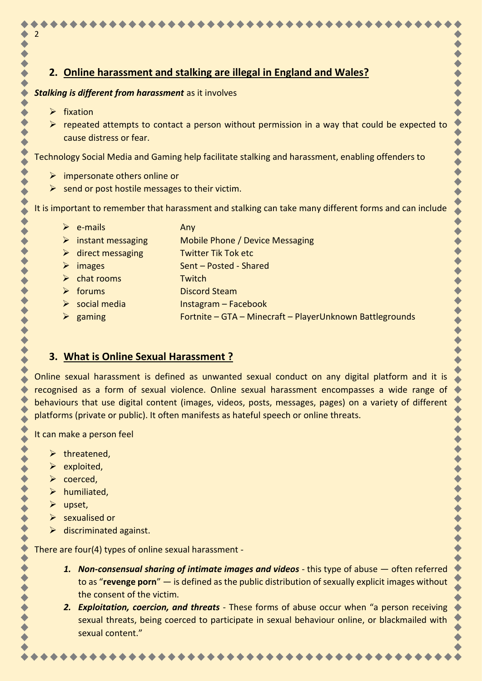# **2. Online harassment and stalking are illegal in England and Wales?**

#### *Stalking is different from harassment* as it involves

➢ fixation

2

 $\triangleright$  repeated attempts to contact a person without permission in a way that could be expected to cause distress or fear.

Technology Social Media and Gaming help facilitate stalking and harassment, enabling offenders to

- $\triangleright$  impersonate others online or
- $\triangleright$  send or post hostile messages to their victim.

It is important to remember that harassment and stalking can take many different forms and can include

- $\triangleright$  e-mails Any
- ➢ instant messaging Mobile Phone / Device Messaging
- ➢ direct messaging Twitter Tik Tok etc
- ➢ images Sent Posted Shared
- ➢ chat rooms Twitch
- ➢ forums Discord Steam
- $\triangleright$  social media Instagram Facebook
- ➢ gaming Fortnite GTA Minecraft PlayerUnknown Battlegrounds

#### **3. What is Online Sexual Harassment ?**

Online sexual harassment is defined as unwanted sexual conduct on any digital platform and it is recognised as a form of sexual violence. Online sexual harassment encompasses a wide range of behaviours that use digital content (images, videos, posts, messages, pages) on a variety of different platforms (private or public). It often manifests as hateful speech or online threats.

It can make a person feel

- $\triangleright$  threatened.
- ➢ exploited,
- ➢ coerced,
- $\triangleright$  humiliated.
- ➢ upset,
- ➢ sexualised or
- $\triangleright$  discriminated against.

There are four(4) types of online sexual harassment -

- *1. Non-consensual sharing of intimate images and videos* this type of abuse often referred to as "**revenge porn**" — is defined as the public distribution of sexually explicit images without the consent of the victim.
- *2. Exploitation, coercion, and threats* These forms of abuse occur when "a person receiving sexual threats, being coerced to participate in sexual behaviour online, or blackmailed with sexual content."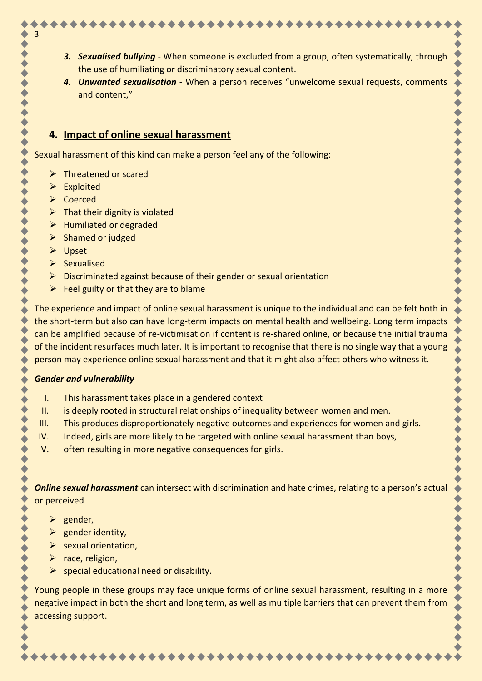- 
- *3. Sexualised bullying* When someone is excluded from a group, often systematically, through the use of humiliating or discriminatory sexual content.
- *4. Unwanted sexualisation* When a person receives "unwelcome sexual requests, comments and content,"

## **4. Impact of online sexual harassment**

Sexual harassment of this kind can make a person feel any of the following:

- ➢ Threatened or scared
- ➢ Exploited

3

- ➢ Coerced
- $\triangleright$  That their dignity is violated
- ➢ Humiliated or degraded
- $\triangleright$  Shamed or judged
- ➢ Upset
- ➢ Sexualised
- ➢ Discriminated against because of their gender or sexual orientation
- $\triangleright$  Feel guilty or that they are to blame

The experience and impact of online sexual harassment is unique to the individual and can be felt both in the short-term but also can have long-term impacts on mental health and wellbeing. Long term impacts can be amplified because of re-victimisation if content is re-shared online, or because the initial trauma of the incident resurfaces much later. It is important to recognise that there is no single way that a young person may experience online sexual harassment and that it might also affect others who witness it.

#### *Gender and vulnerability*

- I. This harassment takes place in a gendered context
- II. is deeply rooted in structural relationships of inequality between women and men.
- III. This produces disproportionately negative outcomes and experiences for women and girls.
- IV. Indeed, girls are more likely to be targeted with online sexual harassment than boys,
- V. often resulting in more negative consequences for girls.

*Online sexual harassment* can intersect with discrimination and hate crimes, relating to a person's actual or perceived

- ➢ gender,
- $\triangleright$  gender identity,
- ➢ sexual orientation,
- $\triangleright$  race, religion,
- $\triangleright$  special educational need or disability.

Young people in these groups may face unique forms of online sexual harassment, resulting in a more negative impact in both the short and long term, as well as multiple barriers that can prevent them from accessing support.